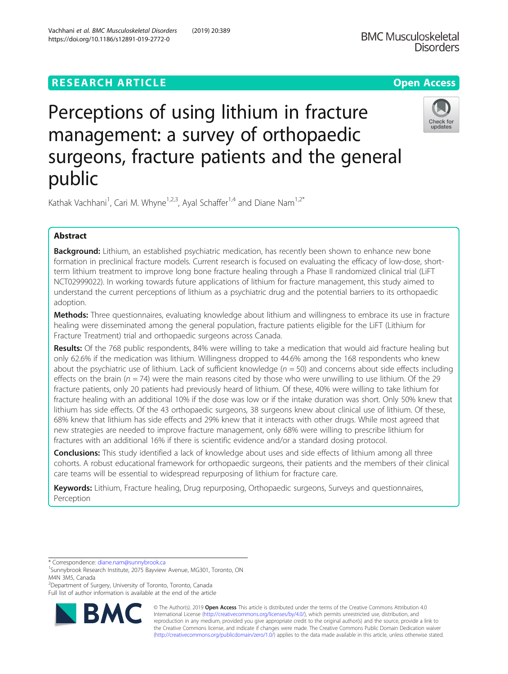# **RESEARCH ARTICLE Example 2018 12:30 THE Open Access**



Perceptions of using lithium in fracture management: a survey of orthopaedic surgeons, fracture patients and the general public

Kathak Vachhani<sup>1</sup>, Cari M. Whyne<sup>1,2,3</sup>, Ayal Schaffer<sup>1,4</sup> and Diane Nam<sup>1,2\*</sup>

# Abstract

Background: Lithium, an established psychiatric medication, has recently been shown to enhance new bone formation in preclinical fracture models. Current research is focused on evaluating the efficacy of low-dose, shortterm lithium treatment to improve long bone fracture healing through a Phase II randomized clinical trial (LiFT NCT02999022). In working towards future applications of lithium for fracture management, this study aimed to understand the current perceptions of lithium as a psychiatric drug and the potential barriers to its orthopaedic adoption.

Methods: Three questionnaires, evaluating knowledge about lithium and willingness to embrace its use in fracture healing were disseminated among the general population, fracture patients eligible for the LiFT (Lithium for Fracture Treatment) trial and orthopaedic surgeons across Canada.

Results: Of the 768 public respondents, 84% were willing to take a medication that would aid fracture healing but only 62.6% if the medication was lithium. Willingness dropped to 44.6% among the 168 respondents who knew about the psychiatric use of lithium. Lack of sufficient knowledge  $(n = 50)$  and concerns about side effects including effects on the brain ( $n = 74$ ) were the main reasons cited by those who were unwilling to use lithium. Of the 29 fracture patients, only 20 patients had previously heard of lithium. Of these, 40% were willing to take lithium for fracture healing with an additional 10% if the dose was low or if the intake duration was short. Only 50% knew that lithium has side effects. Of the 43 orthopaedic surgeons, 38 surgeons knew about clinical use of lithium. Of these, 68% knew that lithium has side effects and 29% knew that it interacts with other drugs. While most agreed that new strategies are needed to improve fracture management, only 68% were willing to prescribe lithium for fractures with an additional 16% if there is scientific evidence and/or a standard dosing protocol.

**Conclusions:** This study identified a lack of knowledge about uses and side effects of lithium among all three cohorts. A robust educational framework for orthopaedic surgeons, their patients and the members of their clinical care teams will be essential to widespread repurposing of lithium for fracture care.

Keywords: Lithium, Fracture healing, Drug repurposing, Orthopaedic surgeons, Surveys and questionnaires, Perception

\* Correspondence: [diane.nam@sunnybrook.ca](mailto:diane.nam@sunnybrook.ca) <sup>1</sup>

<sup>2</sup>Department of Surgery, University of Toronto, Toronto, Canada

Full list of author information is available at the end of the article



© The Author(s). 2019 **Open Access** This article is distributed under the terms of the Creative Commons Attribution 4.0 International License [\(http://creativecommons.org/licenses/by/4.0/](http://creativecommons.org/licenses/by/4.0/)), which permits unrestricted use, distribution, and reproduction in any medium, provided you give appropriate credit to the original author(s) and the source, provide a link to the Creative Commons license, and indicate if changes were made. The Creative Commons Public Domain Dedication waiver [\(http://creativecommons.org/publicdomain/zero/1.0/](http://creativecommons.org/publicdomain/zero/1.0/)) applies to the data made available in this article, unless otherwise stated.

<sup>&</sup>lt;sup>1</sup>Sunnybrook Research Institute, 2075 Bayview Avenue, MG301, Toronto, ON M4N 3M5, Canada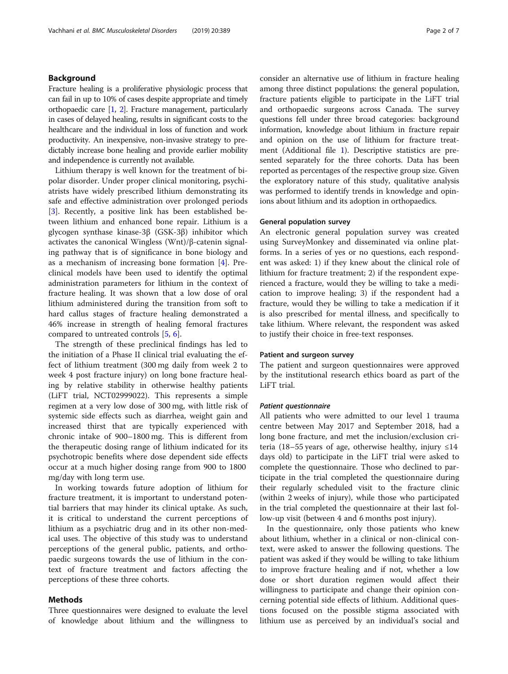## Background

Fracture healing is a proliferative physiologic process that can fail in up to 10% of cases despite appropriate and timely orthopaedic care  $[1, 2]$  $[1, 2]$  $[1, 2]$  $[1, 2]$ . Fracture management, particularly in cases of delayed healing, results in significant costs to the healthcare and the individual in loss of function and work productivity. An inexpensive, non-invasive strategy to predictably increase bone healing and provide earlier mobility and independence is currently not available.

Lithium therapy is well known for the treatment of bipolar disorder. Under proper clinical monitoring, psychiatrists have widely prescribed lithium demonstrating its safe and effective administration over prolonged periods [[3\]](#page-6-0). Recently, a positive link has been established between lithium and enhanced bone repair. Lithium is a glycogen synthase kinase-3β (GSK-3β) inhibitor which activates the canonical Wingless (Wnt)/β-catenin signaling pathway that is of significance in bone biology and as a mechanism of increasing bone formation [[4\]](#page-6-0). Preclinical models have been used to identify the optimal administration parameters for lithium in the context of fracture healing. It was shown that a low dose of oral lithium administered during the transition from soft to hard callus stages of fracture healing demonstrated a 46% increase in strength of healing femoral fractures compared to untreated controls [[5,](#page-6-0) [6\]](#page-6-0).

The strength of these preclinical findings has led to the initiation of a Phase II clinical trial evaluating the effect of lithium treatment (300 mg daily from week 2 to week 4 post fracture injury) on long bone fracture healing by relative stability in otherwise healthy patients (LiFT trial, NCT02999022). This represents a simple regimen at a very low dose of 300 mg, with little risk of systemic side effects such as diarrhea, weight gain and increased thirst that are typically experienced with chronic intake of 900–1800 mg. This is different from the therapeutic dosing range of lithium indicated for its psychotropic benefits where dose dependent side effects occur at a much higher dosing range from 900 to 1800 mg/day with long term use.

In working towards future adoption of lithium for fracture treatment, it is important to understand potential barriers that may hinder its clinical uptake. As such, it is critical to understand the current perceptions of lithium as a psychiatric drug and in its other non-medical uses. The objective of this study was to understand perceptions of the general public, patients, and orthopaedic surgeons towards the use of lithium in the context of fracture treatment and factors affecting the perceptions of these three cohorts.

### Methods

Three questionnaires were designed to evaluate the level of knowledge about lithium and the willingness to consider an alternative use of lithium in fracture healing among three distinct populations: the general population, fracture patients eligible to participate in the LiFT trial and orthopaedic surgeons across Canada. The survey questions fell under three broad categories: background information, knowledge about lithium in fracture repair and opinion on the use of lithium for fracture treatment (Additional file [1](#page-6-0)). Descriptive statistics are presented separately for the three cohorts. Data has been reported as percentages of the respective group size. Given the exploratory nature of this study, qualitative analysis was performed to identify trends in knowledge and opinions about lithium and its adoption in orthopaedics.

### General population survey

An electronic general population survey was created using SurveyMonkey and disseminated via online platforms. In a series of yes or no questions, each respondent was asked: 1) if they knew about the clinical role of lithium for fracture treatment; 2) if the respondent experienced a fracture, would they be willing to take a medication to improve healing; 3) if the respondent had a fracture, would they be willing to take a medication if it is also prescribed for mental illness, and specifically to take lithium. Where relevant, the respondent was asked to justify their choice in free-text responses.

### Patient and surgeon survey

The patient and surgeon questionnaires were approved by the institutional research ethics board as part of the LiFT trial.

#### Patient questionnaire

All patients who were admitted to our level 1 trauma centre between May 2017 and September 2018, had a long bone fracture, and met the inclusion/exclusion criteria (18–55 years of age, otherwise healthy, injury  $\leq 14$ days old) to participate in the LiFT trial were asked to complete the questionnaire. Those who declined to participate in the trial completed the questionnaire during their regularly scheduled visit to the fracture clinic (within 2 weeks of injury), while those who participated in the trial completed the questionnaire at their last follow-up visit (between 4 and 6 months post injury).

In the questionnaire, only those patients who knew about lithium, whether in a clinical or non-clinical context, were asked to answer the following questions. The patient was asked if they would be willing to take lithium to improve fracture healing and if not, whether a low dose or short duration regimen would affect their willingness to participate and change their opinion concerning potential side effects of lithium. Additional questions focused on the possible stigma associated with lithium use as perceived by an individual's social and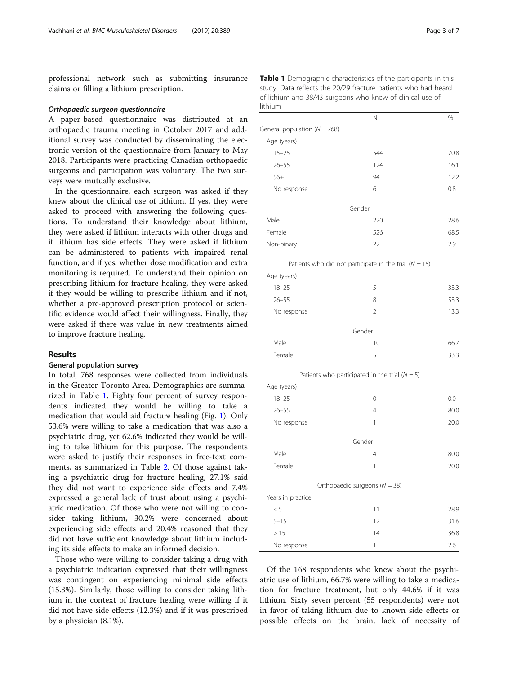<span id="page-2-0"></span>professional network such as submitting insurance claims or filling a lithium prescription.

#### Orthopaedic surgeon questionnaire

A paper-based questionnaire was distributed at an orthopaedic trauma meeting in October 2017 and additional survey was conducted by disseminating the electronic version of the questionnaire from January to May 2018. Participants were practicing Canadian orthopaedic surgeons and participation was voluntary. The two surveys were mutually exclusive.

In the questionnaire, each surgeon was asked if they knew about the clinical use of lithium. If yes, they were asked to proceed with answering the following questions. To understand their knowledge about lithium, they were asked if lithium interacts with other drugs and if lithium has side effects. They were asked if lithium can be administered to patients with impaired renal function, and if yes, whether dose modification and extra monitoring is required. To understand their opinion on prescribing lithium for fracture healing, they were asked if they would be willing to prescribe lithium and if not, whether a pre-approved prescription protocol or scientific evidence would affect their willingness. Finally, they were asked if there was value in new treatments aimed to improve fracture healing.

### Results

### General population survey

In total, 768 responses were collected from individuals in the Greater Toronto Area. Demographics are summarized in Table 1. Eighty four percent of survey respondents indicated they would be willing to take a medication that would aid fracture healing (Fig. [1\)](#page-3-0). Only 53.6% were willing to take a medication that was also a psychiatric drug, yet 62.6% indicated they would be willing to take lithium for this purpose. The respondents were asked to justify their responses in free-text comments, as summarized in Table [2.](#page-3-0) Of those against taking a psychiatric drug for fracture healing, 27.1% said they did not want to experience side effects and 7.4% expressed a general lack of trust about using a psychiatric medication. Of those who were not willing to consider taking lithium, 30.2% were concerned about experiencing side effects and 20.4% reasoned that they did not have sufficient knowledge about lithium including its side effects to make an informed decision.

Those who were willing to consider taking a drug with a psychiatric indication expressed that their willingness was contingent on experiencing minimal side effects (15.3%). Similarly, those willing to consider taking lithium in the context of fracture healing were willing if it did not have side effects (12.3%) and if it was prescribed by a physician (8.1%).

Table 1 Demographic characteristics of the participants in this study. Data reflects the 20/29 fracture patients who had heard of lithium and 38/43 surgeons who knew of clinical use of lithium

|                                  | N                                                          | $\%$ |
|----------------------------------|------------------------------------------------------------|------|
| General population ( $N = 768$ ) |                                                            |      |
| Age (years)                      |                                                            |      |
| $15 - 25$                        | 544                                                        | 70.8 |
| $26 - 55$                        | 124                                                        | 16.1 |
| $56+$                            | 94                                                         | 12.2 |
| No response                      | 6                                                          | 0.8  |
|                                  | Gender                                                     |      |
| Male                             | 220                                                        | 28.6 |
| Female                           | 526                                                        | 68.5 |
| Non-binary                       | 22                                                         | 2.9  |
|                                  | Patients who did not participate in the trial ( $N = 15$ ) |      |
| Age (years)                      |                                                            |      |
| $18 - 25$                        | 5                                                          | 33.3 |
| $26 - 55$                        | 8                                                          | 53.3 |
| No response                      | $\overline{2}$                                             | 13.3 |
|                                  | Gender                                                     |      |
| Male                             | 10                                                         | 66.7 |
| Female                           | 5                                                          | 33.3 |
|                                  | Patients who participated in the trial ( $N = 5$ )         |      |
| Age (years)                      |                                                            |      |
| $18 - 25$                        | 0                                                          | 0.0  |
| $26 - 55$                        | $\overline{4}$                                             | 80.0 |
| No response                      | 1                                                          | 20.0 |
|                                  | Gender                                                     |      |
| Male                             | $\overline{4}$                                             | 80.0 |
| Female                           | 1                                                          | 20.0 |
|                                  | Orthopaedic surgeons ( $N = 38$ )                          |      |
| Years in practice                |                                                            |      |
| < 5                              | 11                                                         | 28.9 |
| $5 - 15$                         | 12                                                         | 31.6 |
| >15                              | 14                                                         | 36.8 |
| No response                      | 1                                                          | 2.6  |

Of the 168 respondents who knew about the psychiatric use of lithium, 66.7% were willing to take a medication for fracture treatment, but only 44.6% if it was lithium. Sixty seven percent (55 respondents) were not in favor of taking lithium due to known side effects or possible effects on the brain, lack of necessity of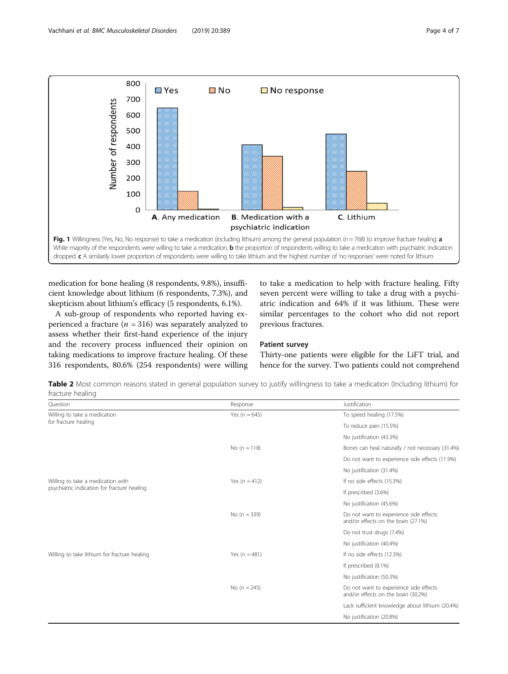<span id="page-3-0"></span>

medication for bone healing (8 respondents, 9.8%), insufficient knowledge about lithium (6 respondents, 7.3%), and skepticism about lithium's efficacy (5 respondents, 6.1%).

A sub-group of respondents who reported having experienced a fracture ( $n = 316$ ) was separately analyzed to assess whether their first-hand experience of the injury and the recovery process influenced their opinion on taking medications to improve fracture healing. Of these 316 respondents, 80.6% (254 respondents) were willing

to take a medication to help with fracture healing. Fifty seven percent were willing to take a drug with a psychiatric indication and 64% if it was lithium. These were similar percentages to the cohort who did not report previous fractures.

### Patient survey

Thirty-one patients were eligible for the LiFT trial, and hence for the survey. Two patients could not comprehend

Table 2 Most common reasons stated in general population survey to justify willingness to take a medication (Including lithium) for fracture healing

| Question                                                                         | Response          | Justification                                                                 |
|----------------------------------------------------------------------------------|-------------------|-------------------------------------------------------------------------------|
| Willing to take a medication<br>for fracture healing                             | Yes ( $n = 645$ ) | To speed healing (17.5%)                                                      |
|                                                                                  |                   | To reduce pain (15.5%)                                                        |
|                                                                                  |                   | No justification (43.3%)                                                      |
|                                                                                  | No $(n = 118)$    | Bones can heal naturally / not necessary (31.4%)                              |
|                                                                                  |                   | Do not want to experience side effects (11.9%)                                |
|                                                                                  |                   | No justification (31.4%)                                                      |
| Willing to take a medication with<br>psychiatric indication for fracture healing | Yes $(n = 412)$   | If no side effects (15.3%)                                                    |
|                                                                                  |                   | If prescribed (3.6%)                                                          |
|                                                                                  |                   | No justification (45.6%)                                                      |
|                                                                                  | No $(n = 339)$    | Do not want to experience side effects<br>and/or effects on the brain (27.1%) |
|                                                                                  |                   | Do not trust drugs (7.4%)                                                     |
|                                                                                  |                   | No justification (40.4%)                                                      |
| Willing to take lithium for fracture healing                                     | Yes $(n = 481)$   | If no side effects (12.3%)                                                    |
|                                                                                  |                   | If prescribed (8.1%)                                                          |
|                                                                                  |                   | No justification (50.3%)                                                      |
|                                                                                  | No $(n = 245)$    | Do not want to experience side effects<br>and/or effects on the brain (30.2%) |
|                                                                                  |                   | Lack sufficient knowledge about lithium (20.4%)                               |
|                                                                                  |                   | No justification (20.8%)                                                      |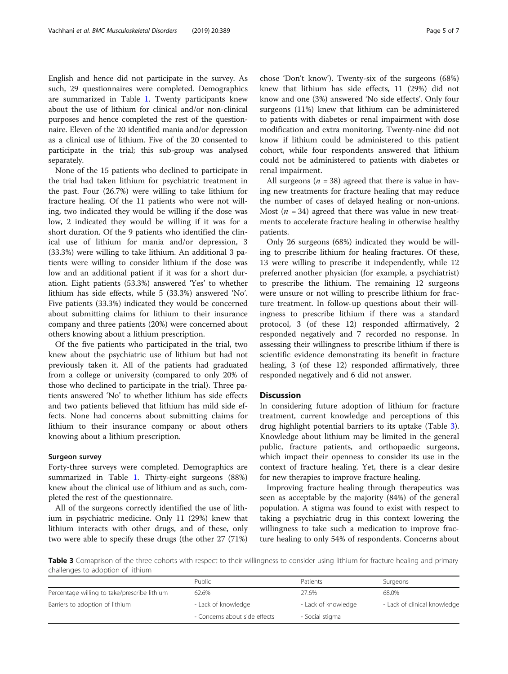English and hence did not participate in the survey. As such, 29 questionnaires were completed. Demographics are summarized in Table [1](#page-2-0). Twenty participants knew about the use of lithium for clinical and/or non-clinical purposes and hence completed the rest of the questionnaire. Eleven of the 20 identified mania and/or depression as a clinical use of lithium. Five of the 20 consented to participate in the trial; this sub-group was analysed separately.

None of the 15 patients who declined to participate in the trial had taken lithium for psychiatric treatment in the past. Four (26.7%) were willing to take lithium for fracture healing. Of the 11 patients who were not willing, two indicated they would be willing if the dose was low, 2 indicated they would be willing if it was for a short duration. Of the 9 patients who identified the clinical use of lithium for mania and/or depression, 3 (33.3%) were willing to take lithium. An additional 3 patients were willing to consider lithium if the dose was low and an additional patient if it was for a short duration. Eight patients (53.3%) answered 'Yes' to whether lithium has side effects, while 5 (33.3%) answered 'No'. Five patients (33.3%) indicated they would be concerned about submitting claims for lithium to their insurance company and three patients (20%) were concerned about others knowing about a lithium prescription.

Of the five patients who participated in the trial, two knew about the psychiatric use of lithium but had not previously taken it. All of the patients had graduated from a college or university (compared to only 20% of those who declined to participate in the trial). Three patients answered 'No' to whether lithium has side effects and two patients believed that lithium has mild side effects. None had concerns about submitting claims for lithium to their insurance company or about others knowing about a lithium prescription.

### Surgeon survey

Forty-three surveys were completed. Demographics are summarized in Table [1](#page-2-0). Thirty-eight surgeons (88%) knew about the clinical use of lithium and as such, completed the rest of the questionnaire.

All of the surgeons correctly identified the use of lithium in psychiatric medicine. Only 11 (29%) knew that lithium interacts with other drugs, and of these, only two were able to specify these drugs (the other 27 (71%)

chose 'Don't know'). Twenty-six of the surgeons (68%) knew that lithium has side effects, 11 (29%) did not know and one (3%) answered 'No side effects'. Only four surgeons (11%) knew that lithium can be administered to patients with diabetes or renal impairment with dose modification and extra monitoring. Twenty-nine did not know if lithium could be administered to this patient cohort, while four respondents answered that lithium could not be administered to patients with diabetes or renal impairment.

All surgeons ( $n = 38$ ) agreed that there is value in having new treatments for fracture healing that may reduce the number of cases of delayed healing or non-unions. Most ( $n = 34$ ) agreed that there was value in new treatments to accelerate fracture healing in otherwise healthy patients.

Only 26 surgeons (68%) indicated they would be willing to prescribe lithium for healing fractures. Of these, 13 were willing to prescribe it independently, while 12 preferred another physician (for example, a psychiatrist) to prescribe the lithium. The remaining 12 surgeons were unsure or not willing to prescribe lithium for fracture treatment. In follow-up questions about their willingness to prescribe lithium if there was a standard protocol, 3 (of these 12) responded affirmatively, 2 responded negatively and 7 recorded no response. In assessing their willingness to prescribe lithium if there is scientific evidence demonstrating its benefit in fracture healing, 3 (of these 12) responded affirmatively, three responded negatively and 6 did not answer.

### **Discussion**

In considering future adoption of lithium for fracture treatment, current knowledge and perceptions of this drug highlight potential barriers to its uptake (Table 3). Knowledge about lithium may be limited in the general public, fracture patients, and orthopaedic surgeons, which impact their openness to consider its use in the context of fracture healing. Yet, there is a clear desire for new therapies to improve fracture healing.

Improving fracture healing through therapeutics was seen as acceptable by the majority (84%) of the general population. A stigma was found to exist with respect to taking a psychiatric drug in this context lowering the willingness to take such a medication to improve fracture healing to only 54% of respondents. Concerns about

Table 3 Comaprison of the three cohorts with respect to their willingness to consider using lithium for fracture healing and primary challenges to adoption of lithium

|                                              | Public                        | <b>Patients</b>     | Surgeons                     |
|----------------------------------------------|-------------------------------|---------------------|------------------------------|
| Percentage willing to take/prescribe lithium | 62.6%                         | 27.6%               | 68.0%                        |
| Barriers to adoption of lithium              | - Lack of knowledge           | - Lack of knowledge | - Lack of clinical knowledge |
|                                              | - Concerns about side effects | - Social stigma     |                              |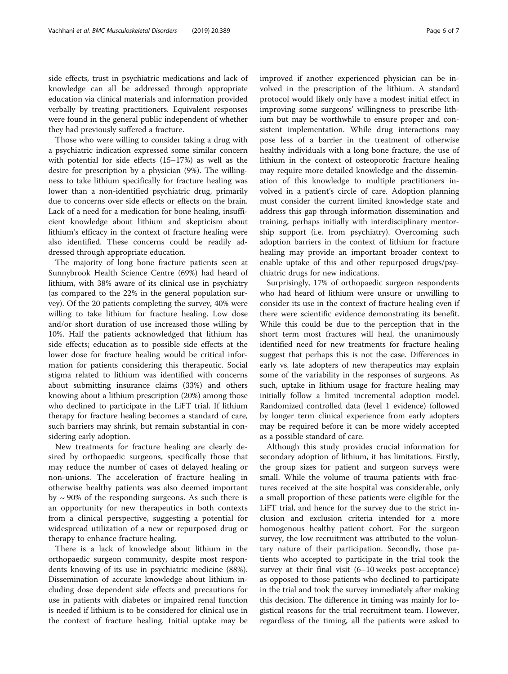side effects, trust in psychiatric medications and lack of knowledge can all be addressed through appropriate education via clinical materials and information provided verbally by treating practitioners. Equivalent responses were found in the general public independent of whether they had previously suffered a fracture.

Those who were willing to consider taking a drug with a psychiatric indication expressed some similar concern with potential for side effects (15–17%) as well as the desire for prescription by a physician (9%). The willingness to take lithium specifically for fracture healing was lower than a non-identified psychiatric drug, primarily due to concerns over side effects or effects on the brain. Lack of a need for a medication for bone healing, insufficient knowledge about lithium and skepticism about lithium's efficacy in the context of fracture healing were also identified. These concerns could be readily addressed through appropriate education.

The majority of long bone fracture patients seen at Sunnybrook Health Science Centre (69%) had heard of lithium, with 38% aware of its clinical use in psychiatry (as compared to the 22% in the general population survey). Of the 20 patients completing the survey, 40% were willing to take lithium for fracture healing. Low dose and/or short duration of use increased those willing by 10%. Half the patients acknowledged that lithium has side effects; education as to possible side effects at the lower dose for fracture healing would be critical information for patients considering this therapeutic. Social stigma related to lithium was identified with concerns about submitting insurance claims (33%) and others knowing about a lithium prescription (20%) among those who declined to participate in the LiFT trial. If lithium therapy for fracture healing becomes a standard of care, such barriers may shrink, but remain substantial in considering early adoption.

New treatments for fracture healing are clearly desired by orthopaedic surgeons, specifically those that may reduce the number of cases of delayed healing or non-unions. The acceleration of fracture healing in otherwise healthy patients was also deemed important by  $\sim$  90% of the responding surgeons. As such there is an opportunity for new therapeutics in both contexts from a clinical perspective, suggesting a potential for widespread utilization of a new or repurposed drug or therapy to enhance fracture healing.

There is a lack of knowledge about lithium in the orthopaedic surgeon community, despite most respondents knowing of its use in psychiatric medicine (88%). Dissemination of accurate knowledge about lithium including dose dependent side effects and precautions for use in patients with diabetes or impaired renal function is needed if lithium is to be considered for clinical use in the context of fracture healing. Initial uptake may be improved if another experienced physician can be involved in the prescription of the lithium. A standard protocol would likely only have a modest initial effect in improving some surgeons' willingness to prescribe lithium but may be worthwhile to ensure proper and consistent implementation. While drug interactions may pose less of a barrier in the treatment of otherwise healthy individuals with a long bone fracture, the use of lithium in the context of osteoporotic fracture healing may require more detailed knowledge and the dissemination of this knowledge to multiple practitioners involved in a patient's circle of care. Adoption planning must consider the current limited knowledge state and address this gap through information dissemination and training, perhaps initially with interdisciplinary mentorship support (i.e. from psychiatry). Overcoming such adoption barriers in the context of lithium for fracture healing may provide an important broader context to enable uptake of this and other repurposed drugs/psychiatric drugs for new indications.

Surprisingly, 17% of orthopaedic surgeon respondents who had heard of lithium were unsure or unwilling to consider its use in the context of fracture healing even if there were scientific evidence demonstrating its benefit. While this could be due to the perception that in the short term most fractures will heal, the unanimously identified need for new treatments for fracture healing suggest that perhaps this is not the case. Differences in early vs. late adopters of new therapeutics may explain some of the variability in the responses of surgeons. As such, uptake in lithium usage for fracture healing may initially follow a limited incremental adoption model. Randomized controlled data (level 1 evidence) followed by longer term clinical experience from early adopters may be required before it can be more widely accepted as a possible standard of care.

Although this study provides crucial information for secondary adoption of lithium, it has limitations. Firstly, the group sizes for patient and surgeon surveys were small. While the volume of trauma patients with fractures received at the site hospital was considerable, only a small proportion of these patients were eligible for the LiFT trial, and hence for the survey due to the strict inclusion and exclusion criteria intended for a more homogenous healthy patient cohort. For the surgeon survey, the low recruitment was attributed to the voluntary nature of their participation. Secondly, those patients who accepted to participate in the trial took the survey at their final visit (6–10 weeks post-acceptance) as opposed to those patients who declined to participate in the trial and took the survey immediately after making this decision. The difference in timing was mainly for logistical reasons for the trial recruitment team. However, regardless of the timing, all the patients were asked to